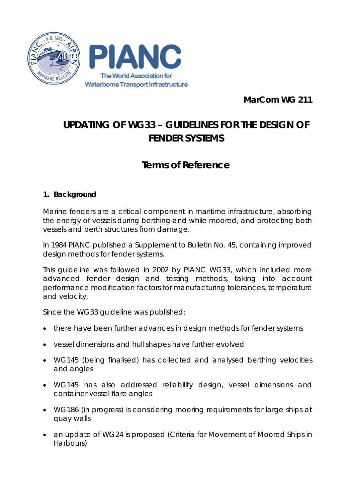

**MarCom WG 211**

# **UPDATING OF WG33 – GUIDELINES FOR THE DESIGN OF FENDER SYSTEMS**

# **Terms of Reference**

# **1. Background**

Marine fenders are a critical component in maritime infrastructure, absorbing the energy of vessels during berthing and while moored, and protecting both vessels and berth structures from damage.

In 1984 PIANC published a Supplement to Bulletin No. 45, containing improved design methods for fender systems.

This guideline was followed in 2002 by PIANC WG33, which included more advanced fender design and testing methods, taking into account performance modification factors for manufacturing tolerances, temperature and velocity.

Since the WG33 guideline was published:

- there have been further advances in design methods for fender systems
- vessel dimensions and hull shapes have further evolved
- WG145 (being finalised) has collected and analysed berthing velocities and angles
- WG145 has also addressed reliability design, vessel dimensions and container vessel flare angles
- WG186 (in progress) is considering mooring requirements for large ships at quay walls
- an update of WG24 is proposed (Criteria for Movement of Moored Ships in Harbours)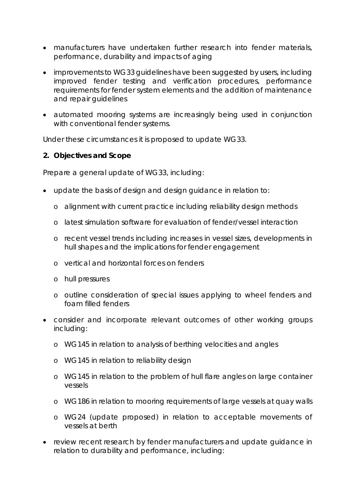- manufacturers have undertaken further research into fender materials, performance, durability and impacts of aging
- improvements to WG33 guidelines have been suggested by users, including improved fender testing and verification procedures, performance requirements for fender system elements and the addition of maintenance and repair guidelines
- automated mooring systems are increasingly being used in conjunction with conventional fender systems.

Under these circumstances it is proposed to update WG33.

#### **2. Objectives and Scope**

Prepare a general update of WG33, including:

- update the basis of design and design guidance in relation to:
	- o alignment with current practice including reliability design methods
	- o latest simulation software for evaluation of fender/vessel interaction
	- o recent vessel trends including increases in vessel sizes, developments in hull shapes and the implications for fender engagement
	- o vertical and horizontal forces on fenders
	- o hull pressures
	- o outline consideration of special issues applying to wheel fenders and foam filled fenders
- consider and incorporate relevant outcomes of other working groups including:
	- o WG145 in relation to analysis of berthing velocities and angles
	- o WG145 in relation to reliability design
	- o WG145 in relation to the problem of hull flare angles on large container vessels
	- o WG186 in relation to mooring requirements of large vessels at quay walls
	- o WG24 (update proposed) in relation to acceptable movements of vessels at berth
- review recent research by fender manufacturers and update guidance in relation to durability and performance, including: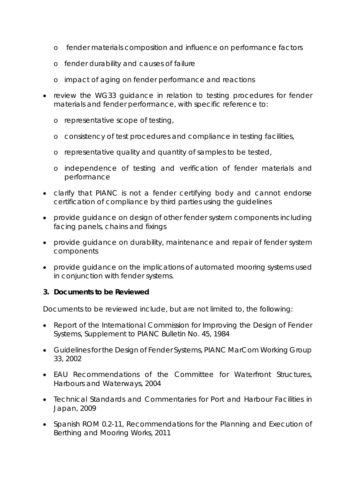- o fender materials composition and influence on performance factors
- o fender durability and causes of failure
- o impact of aging on fender performance and reactions
- review the WG33 guidance in relation to testing procedures for fender materials and fender performance, with specific reference to:
	- o representative scope of testing,
	- o consistency of test procedures and compliance in testing facilities,
	- o representative quality and quantity of samples to be tested,
	- o independence of testing and verification of fender materials and performance
- clarify that PIANC is not a fender certifying body and cannot endorse certification of compliance by third parties using the guidelines
- provide guidance on design of other fender system components including facing panels, chains and fixings
- provide guidance on durability, maintenance and repair of fender system components
- provide guidance on the implications of automated mooring systems used in conjunction with fender systems.

#### **3. Documents to be Reviewed**

Documents to be reviewed include, but are not limited to, the following:

- Report of the International Commission for Improving the Design of Fender Systems, Supplement to PIANC Bulletin No. 45, 1984
- Guidelines for the Design of Fender Systems, PIANC MarCom Working Group 33, 2002
- EAU Recommendations of the Committee for Waterfront Structures, Harbours and Waterways, 2004
- Technical Standards and Commentaries for Port and Harbour Facilities in Japan, 2009
- Spanish ROM 0.2-11, Recommendations for the Planning and Execution of Berthing and Mooring Works, 2011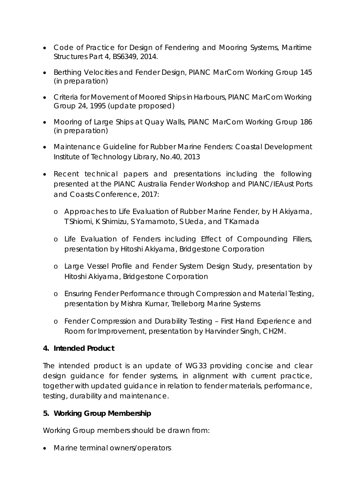- Code of Practice for Design of Fendering and Mooring Systems, Maritime Structures Part 4, BS6349, 2014.
- Berthing Velocities and Fender Design, PIANC MarCom Working Group 145 (in preparation)
- Criteria for Movement of Moored Ships in Harbours, PIANC MarCom Working Group 24, 1995 (update proposed)
- Mooring of Large Ships at Quay Walls, PIANC MarCom Working Group 186 (in preparation)
- Maintenance Guideline for Rubber Marine Fenders: Coastal Development Institute of Technology Library, No.40, 2013
- Recent technical papers and presentations including the following presented at the PIANC Australia Fender Workshop and PIANC/IEAust Ports and Coasts Conference, 2017:
	- o Approaches to Life Evaluation of Rubber Marine Fender, by H Akiyama, T Shiomi, K Shimizu, S Yamamoto, S Ueda, and T Kamada
	- o Life Evaluation of Fenders including Effect of Compounding Fillers, presentation by Hitoshi Akiyama, Bridgestone Corporation
	- o Large Vessel Profile and Fender System Design Study, presentation by Hitoshi Akiyama, Bridgestone Corporation
	- o Ensuring Fender Performance through Compression and Material Testing, presentation by Mishra Kumar, Trelleborg Marine Systems
	- o Fender Compression and Durability Testing First Hand Experience and Room for Improvement, presentation by Harvinder Singh, CH2M.

# **4. Intended Product**

The intended product is an update of WG33 providing concise and clear design guidance for fender systems, in alignment with current practice, together with updated guidance in relation to fender materials, performance, testing, durability and maintenance.

# **5. Working Group Membership**

Working Group members should be drawn from:

• Marine terminal owners/operators